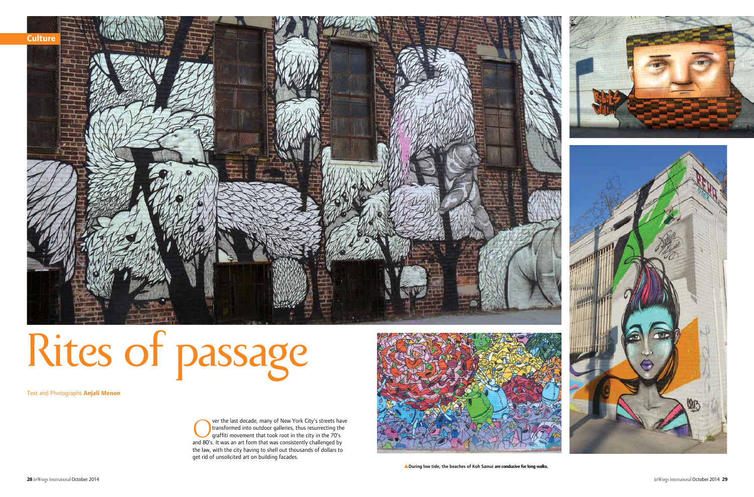

the law, with the city having to shell out thousands of dollars to get rid of unsolicited art on building facades.



**A** During low tide, the beaches of Koh Samui are conducive for long walks.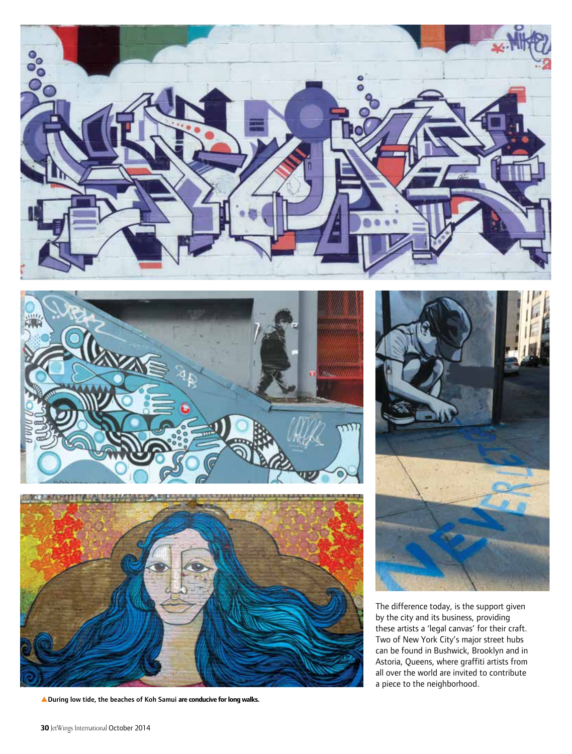

![](_page_1_Picture_1.jpeg)

![](_page_1_Picture_2.jpeg)

**A** During low tide, the beaches of Koh Samui are conducive for long walks.

![](_page_1_Picture_4.jpeg)

The difference today, is the support given by the city and its business, providing these artists a 'legal canvas' for their craft. Two of New York City's major street hubs can be found in Bushwick, Brooklyn and in Astoria, Queens, where graffiti artists from all over the world are invited to contribute a piece to the neighborhood.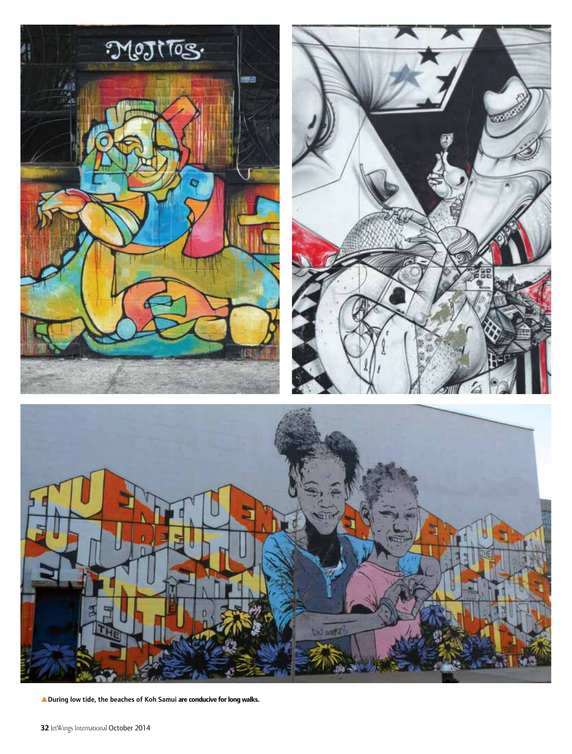![](_page_2_Picture_0.jpeg)

pDuring low tide, the beaches of Koh Samui **are conducive for long walks.**